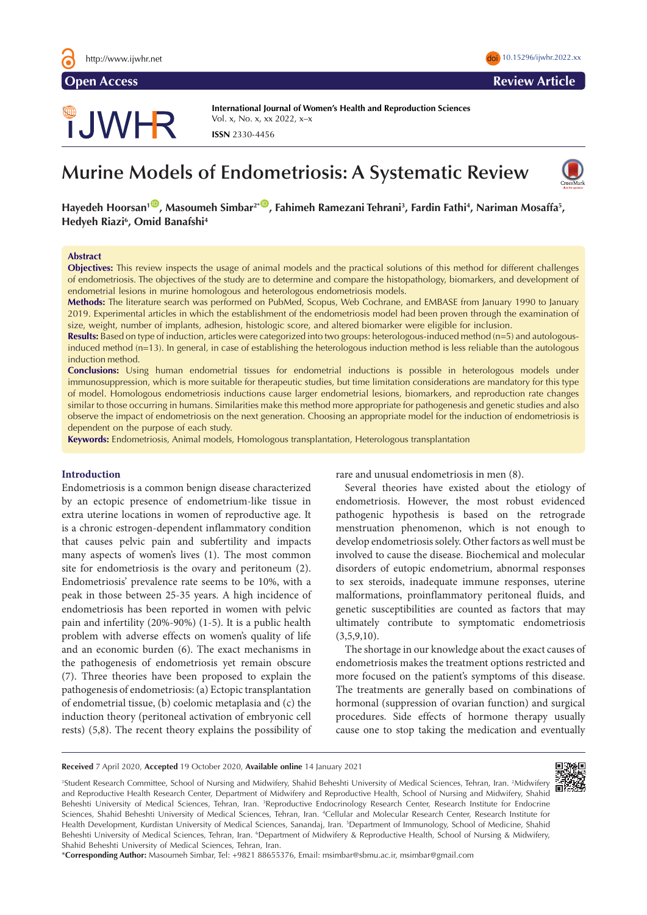

# TJWHR

**International Journal of Women's Health and Reproduction Sciences**  Vol. x, No. x, xx 2022, x–x **ISSN** 2330-4456

# **Murine Models of Endometriosis: A Systematic Review**



Hayedeh Hoorsan<sup>1</sub> (D)</sup>, Masoumeh Simbar<sup>2\* (D</sup>), Fahimeh Ramezani Tehrani<sup>3</sup>, Fardin Fathi<sup>4</sup>, Nariman Mosaffa<sup>5</sup>, **Hedyeh Riazi6 , Omid Banafshi4**

#### **Abstract**

**Objectives:** This review inspects the usage of animal models and the practical solutions of this method for different challenges of endometriosis. The objectives of the study are to determine and compare the histopathology, biomarkers, and development of endometrial lesions in murine homologous and heterologous endometriosis models.

**Methods:** The literature search was performed on PubMed, Scopus, Web Cochrane, and EMBASE from January 1990 to January 2019. Experimental articles in which the establishment of the endometriosis model had been proven through the examination of size, weight, number of implants, adhesion, histologic score, and altered biomarker were eligible for inclusion.

**Results:** Based on type of induction, articles were categorized into two groups: heterologous-induced method (n=5) and autologousinduced method (n=13). In general, in case of establishing the heterologous induction method is less reliable than the autologous induction method.

**Conclusions:** Using human endometrial tissues for endometrial inductions is possible in heterologous models under immunosuppression, which is more suitable for therapeutic studies, but time limitation considerations are mandatory for this type of model. Homologous endometriosis inductions cause larger endometrial lesions, biomarkers, and reproduction rate changes similar to those occurring in humans. Similarities make this method more appropriate for pathogenesis and genetic studies and also observe the impact of endometriosis on the next generation. Choosing an appropriate model for the induction of endometriosis is dependent on the purpose of each study.

**Keywords:** Endometriosis, Animal models, Homologous transplantation, Heterologous transplantation

# **Introduction**

Endometriosis is a common benign disease characterized by an ectopic presence of endometrium-like tissue in extra uterine locations in women of reproductive age. It is a chronic estrogen-dependent inflammatory condition that causes pelvic pain and subfertility and impacts many aspects of women's lives (1). The most common site for endometriosis is the ovary and peritoneum (2). Endometriosis' prevalence rate seems to be 10%, with a peak in those between 25-35 years. A high incidence of endometriosis has been reported in women with pelvic pain and infertility (20%-90%) (1-5). It is a public health problem with adverse effects on women's quality of life and an economic burden (6). The exact mechanisms in the pathogenesis of endometriosis yet remain obscure (7). Three theories have been proposed to explain the pathogenesis of endometriosis: (a) Ectopic transplantation of endometrial tissue, (b) coelomic metaplasia and (c) the induction theory (peritoneal activation of embryonic cell rests) (5,8). The recent theory explains the possibility of rare and unusual endometriosis in men (8).

Several theories have existed about the etiology of endometriosis. However, the most robust evidenced pathogenic hypothesis is based on the retrograde menstruation phenomenon, which is not enough to develop endometriosis solely. Other factors as well must be involved to cause the disease. Biochemical and molecular disorders of eutopic endometrium, abnormal responses to sex steroids, inadequate immune responses, uterine malformations, proinflammatory peritoneal fluids, and genetic susceptibilities are counted as factors that may ultimately contribute to symptomatic endometriosis  $(3,5,9,10)$ .

The shortage in our knowledge about the exact causes of endometriosis makes the treatment options restricted and more focused on the patient's symptoms of this disease. The treatments are generally based on combinations of hormonal (suppression of ovarian function) and surgical procedures. Side effects of hormone therapy usually cause one to stop taking the medication and eventually

**Received** 7 April 2020, **Accepted** 19 October 2020, **Available online** 14 January 2021



<sup>1</sup>Student Research Committee, School of Nursing and Midwifery, Shahid Beheshti University of Medical Sciences, Tehran, Iran. <sup>2</sup>Midwifery and Reproductive Health Research Center, Department of Midwifery and Reproductive Health, School of Nursing and Midwifery, Shahid Beheshti University of Medical Sciences, Tehran, Iran. <sup>3</sup>Reproductive Endocrinology Research Center, Research Institute for Endocrine Sciences, Shahid Beheshti University of Medical Sciences, Tehran, Iran. 4 Cellular and Molecular Research Center, Research Institute for Health Development, Kurdistan University of Medical Sciences, Sanandaj, Iran. <sup>5</sup>Department of Immunology, School of Medicine, Shahid Beheshti University of Medical Sciences, Tehran, Iran. <sup>6</sup>Department of Midwifery & Reproductive Health, School of Nursing & Midwifery, Shahid Beheshti University of Medical Sciences, Tehran, Iran.

\***Corresponding Author:** Masoumeh Simbar, Tel: +9821 88655376, Email: msimbar@sbmu.ac.ir, msimbar@gmail.com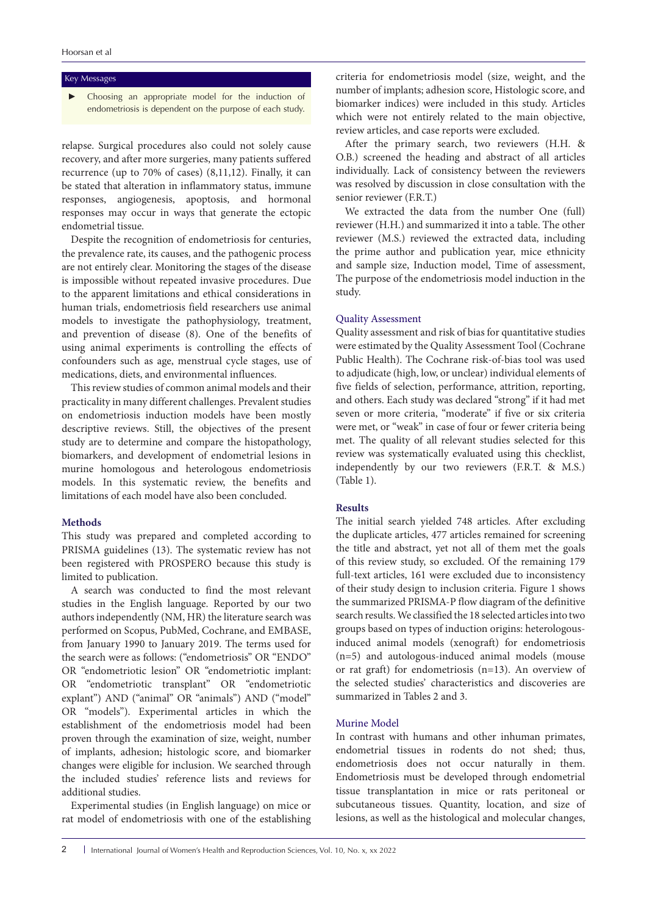#### Key Messages

Choosing an appropriate model for the induction of endometriosis is dependent on the purpose of each study.

relapse. Surgical procedures also could not solely cause recovery, and after more surgeries, many patients suffered recurrence (up to 70% of cases) (8,11,12). Finally, it can be stated that alteration in inflammatory status, immune responses, angiogenesis, apoptosis, and hormonal responses may occur in ways that generate the ectopic endometrial tissue.

Despite the recognition of endometriosis for centuries, the prevalence rate, its causes, and the pathogenic process are not entirely clear. Monitoring the stages of the disease is impossible without repeated invasive procedures. Due to the apparent limitations and ethical considerations in human trials, endometriosis field researchers use animal models to investigate the pathophysiology, treatment, and prevention of disease (8). One of the benefits of using animal experiments is controlling the effects of confounders such as age, menstrual cycle stages, use of medications, diets, and environmental influences.

This review studies of common animal models and their practicality in many different challenges. Prevalent studies on endometriosis induction models have been mostly descriptive reviews. Still, the objectives of the present study are to determine and compare the histopathology, biomarkers, and development of endometrial lesions in murine homologous and heterologous endometriosis models. In this systematic review, the benefits and limitations of each model have also been concluded.

# **Methods**

This study was prepared and completed according to PRISMA guidelines (13). The systematic review has not been registered with PROSPERO because this study is limited to publication.

A search was conducted to find the most relevant studies in the English language. Reported by our two authors independently (NM, HR) the literature search was performed on Scopus, PubMed, Cochrane, and EMBASE, from January 1990 to January 2019. The terms used for the search were as follows: ("endometriosis" OR "ENDO" OR "endometriotic lesion" OR "endometriotic implant: OR "endometriotic transplant" OR "endometriotic explant") AND ("animal" OR "animals") AND ("model" OR "models"). Experimental articles in which the establishment of the endometriosis model had been proven through the examination of size, weight, number of implants, adhesion; histologic score, and biomarker changes were eligible for inclusion. We searched through the included studies' reference lists and reviews for additional studies.

Experimental studies (in English language) on mice or rat model of endometriosis with one of the establishing criteria for endometriosis model (size, weight, and the number of implants; adhesion score, Histologic score, and biomarker indices) were included in this study. Articles which were not entirely related to the main objective, review articles, and case reports were excluded.

After the primary search, two reviewers (H.H. & O.B.) screened the heading and abstract of all articles individually. Lack of consistency between the reviewers was resolved by discussion in close consultation with the senior reviewer (F.R.T.)

We extracted the data from the number One (full) reviewer (H.H.) and summarized it into a table. The other reviewer (M.S.) reviewed the extracted data, including the prime author and publication year, mice ethnicity and sample size, Induction model, Time of assessment, The purpose of the endometriosis model induction in the study.

#### Quality Assessment

Quality assessment and risk of bias for quantitative studies were estimated by the Quality Assessment Tool (Cochrane Public Health). The Cochrane risk-of-bias tool was used to adjudicate (high, low, or unclear) individual elements of five fields of selection, performance, attrition, reporting, and others. Each study was declared "strong" if it had met seven or more criteria, "moderate" if five or six criteria were met, or "weak" in case of four or fewer criteria being met. The quality of all relevant studies selected for this review was systematically evaluated using this checklist, independently by our two reviewers (F.R.T. & M.S.) (Table 1).

# **Results**

The initial search yielded 748 articles. After excluding the duplicate articles, 477 articles remained for screening the title and abstract, yet not all of them met the goals of this review study, so excluded. Of the remaining 179 full-text articles, 161 were excluded due to inconsistency of their study design to inclusion criteria. Figure 1 shows the summarized PRISMA-P flow diagram of the definitive search results. We classified the 18 selected articles into two groups based on types of induction origins: heterologousinduced animal models (xenograft) for endometriosis (n=5) and autologous-induced animal models (mouse or rat graft) for endometriosis (n=13). An overview of the selected studies' characteristics and discoveries are summarized in Tables 2 and 3.

## Murine Model

In contrast with humans and other inhuman primates, endometrial tissues in rodents do not shed; thus, endometriosis does not occur naturally in them. Endometriosis must be developed through endometrial tissue transplantation in mice or rats peritoneal or subcutaneous tissues. Quantity, location, and size of lesions, as well as the histological and molecular changes,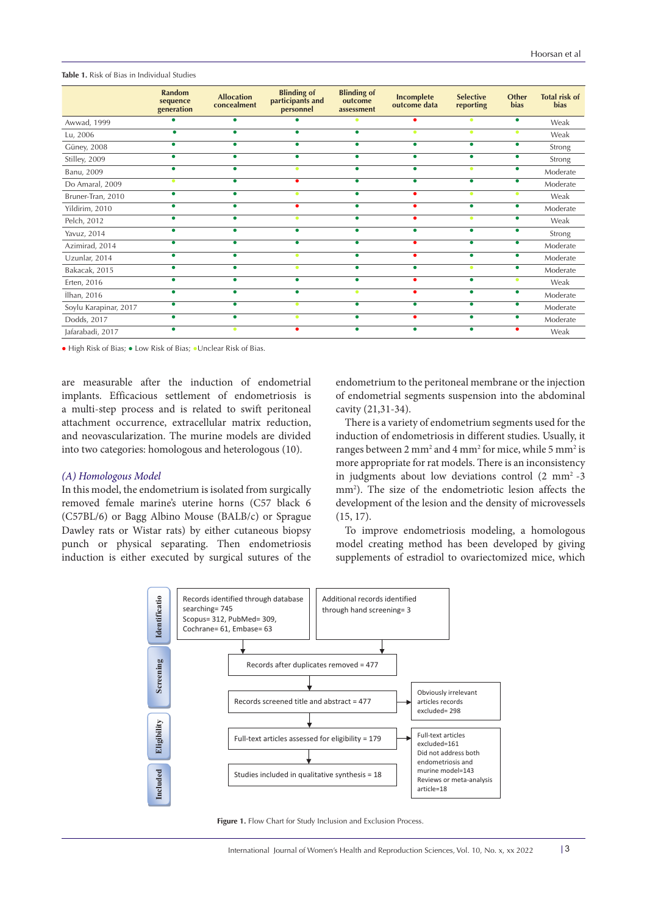**Table 1.** Risk of Bias in Individual Studies

|                       | Random<br>sequence<br>generation | <b>Allocation</b><br>concealment | <b>Blinding of</b><br>participants and<br>personnel | <b>Blinding of</b><br>outcome<br>assessment | <b>Incomplete</b><br>outcome data | <b>Selective</b><br>reporting | <b>Other</b><br><b>bias</b> | <b>Total risk of</b><br><b>bias</b> |
|-----------------------|----------------------------------|----------------------------------|-----------------------------------------------------|---------------------------------------------|-----------------------------------|-------------------------------|-----------------------------|-------------------------------------|
| Awwad, 1999           |                                  |                                  |                                                     | $\bullet$                                   |                                   | ٠                             | ٠                           | Weak                                |
| Lu, 2006              |                                  |                                  | ٠                                                   | ٠                                           | ٠                                 | ٠                             |                             | Weak                                |
| Güney, 2008           | ٠                                |                                  | ٠                                                   | $\bullet$                                   | $\bullet$                         | $\bullet$                     |                             | Strong                              |
| Stilley, 2009         |                                  |                                  |                                                     |                                             | $\bullet$                         | $\bullet$                     |                             | Strong                              |
| Banu, 2009            |                                  |                                  |                                                     |                                             | $\bullet$                         | ٠                             |                             | Moderate                            |
| Do Amaral, 2009       |                                  |                                  | ٠                                                   | ٠                                           | ٠                                 | $\bullet$                     |                             | Moderate                            |
| Bruner-Tran, 2010     |                                  |                                  | ٠                                                   |                                             |                                   | ٠                             |                             | Weak                                |
| Yildirim, 2010        |                                  |                                  | ٠                                                   | $\bullet$                                   | ٠                                 | ٠                             |                             | Moderate                            |
| Pelch, 2012           |                                  |                                  |                                                     |                                             |                                   |                               |                             | Weak                                |
| Yavuz, 2014           |                                  |                                  | ٠                                                   |                                             | ٠                                 | ٠                             |                             | Strong                              |
| Azimirad, 2014        |                                  |                                  | ٠                                                   |                                             |                                   | ٠                             |                             | Moderate                            |
| Uzunlar, 2014         |                                  |                                  | ٠                                                   |                                             |                                   | ٠                             |                             | Moderate                            |
| Bakacak, 2015         | ٠                                |                                  | ٠                                                   | $\bullet$                                   | $\bullet$                         | ٠                             |                             | Moderate                            |
| Erten, 2016           |                                  |                                  |                                                     | ٠                                           |                                   | $\bullet$                     |                             | Weak                                |
| ilhan, 2016           |                                  |                                  | ٠                                                   | $\bullet$                                   |                                   | ٠                             |                             | Moderate                            |
| Soylu Karapinar, 2017 |                                  |                                  | ٠                                                   | ٠                                           | ٠                                 | ٠                             |                             | Moderate                            |
| Dodds, 2017           |                                  |                                  |                                                     |                                             |                                   |                               |                             | Moderate                            |
| Jafarabadi, 2017      |                                  | ۰                                | ٠                                                   |                                             | ٠                                 | ٠                             |                             | Weak                                |

● High Risk of Bias; ● Low Risk of Bias; ●Unclear Risk of Bias.

are measurable after the induction of endometrial implants. Efficacious settlement of endometriosis is a multi-step process and is related to swift peritoneal attachment occurrence, extracellular matrix reduction, and neovascularization. The murine models are divided into two categories: homologous and heterologous (10).

#### *(A) Homologous Model*

In this model, the endometrium is isolated from surgically removed female marine's uterine horns (C57 black 6 (C57BL/6) or Bagg Albino Mouse (BALB/c) or Sprague Dawley rats or Wistar rats) by either cutaneous biopsy punch or physical separating. Then endometriosis induction is either executed by surgical sutures of the

endometrium to the peritoneal membrane or the injection of endometrial segments suspension into the abdominal cavity (21,31-34).

There is a variety of endometrium segments used for the induction of endometriosis in different studies. Usually, it ranges between 2 mm<sup>2</sup> and 4 mm<sup>2</sup> for mice, while 5 mm<sup>2</sup> is more appropriate for rat models. There is an inconsistency in judgments about low deviations control  $(2 \text{ mm}^2 - 3)$ mm2 ). The size of the endometriotic lesion affects the development of the lesion and the density of microvessels (15, 17).

To improve endometriosis modeling, a homologous model creating method has been developed by giving supplements of estradiol to ovariectomized mice, which



**Figure 1.** Flow Chart for Study Inclusion and Exclusion Process.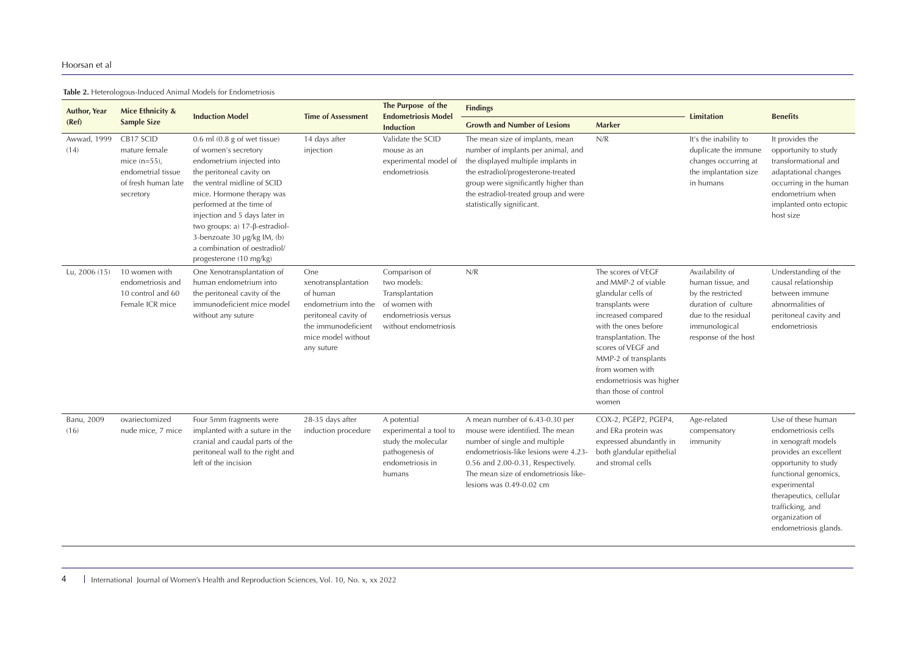**Table 2.** Heterologous-Induced Animal Models for Endometriosis

| <b>Author, Year</b> | <b>Mice Ethnicity &amp;</b>                                                                             | <b>Induction Model</b>                                                                                                                                                                                                                                                                                                                                                 | <b>Time of Assessment</b>                                                                                                                         | The Purpose of the<br><b>Endometriosis Model</b>                                                                  | <b>Findings</b>                                                                                                                                                                                                                                                 |                                                                                                                                                                                                                                                                                          | <b>Limitation</b>                                                                                                                                | <b>Benefits</b>                                                                                                                                                                                                                                     |  |
|---------------------|---------------------------------------------------------------------------------------------------------|------------------------------------------------------------------------------------------------------------------------------------------------------------------------------------------------------------------------------------------------------------------------------------------------------------------------------------------------------------------------|---------------------------------------------------------------------------------------------------------------------------------------------------|-------------------------------------------------------------------------------------------------------------------|-----------------------------------------------------------------------------------------------------------------------------------------------------------------------------------------------------------------------------------------------------------------|------------------------------------------------------------------------------------------------------------------------------------------------------------------------------------------------------------------------------------------------------------------------------------------|--------------------------------------------------------------------------------------------------------------------------------------------------|-----------------------------------------------------------------------------------------------------------------------------------------------------------------------------------------------------------------------------------------------------|--|
| (Ref)               | <b>Sample Size</b>                                                                                      |                                                                                                                                                                                                                                                                                                                                                                        |                                                                                                                                                   | <b>Induction</b>                                                                                                  | <b>Growth and Number of Lesions</b>                                                                                                                                                                                                                             | Marker                                                                                                                                                                                                                                                                                   |                                                                                                                                                  |                                                                                                                                                                                                                                                     |  |
| Awwad, 1999<br>(14) | CB17 SCID<br>mature female<br>mice $(n=55)$ ,<br>endometrial tissue<br>of fresh human late<br>secretory | $0.6$ ml $(0.8$ g of wet tissue)<br>of women's secretory<br>endometrium injected into<br>the peritoneal cavity on<br>the ventral midline of SCID<br>mice. Hormone therapy was<br>performed at the time of<br>injection and 5 days later in<br>two groups: a) 17-β-estradiol-<br>3-benzoate 30 µg/kg IM, (b)<br>a combination of oestradiol/<br>progesterone (10 mg/kg) | 14 days after<br>injection                                                                                                                        | Validate the SCID<br>mouse as an<br>experimental model of<br>endometriosis                                        | The mean size of implants, mean<br>number of implants per animal, and<br>the displayed multiple implants in<br>the estradiol/progesterone-treated<br>group were significantly higher than<br>the estradiol-treated group and were<br>statistically significant. | N/R                                                                                                                                                                                                                                                                                      | It's the inability to<br>duplicate the immune<br>changes occurring at<br>the implantation size<br>in humans                                      | It provides the<br>opportunity to study<br>transformational and<br>adaptational changes<br>occurring in the human<br>endometrium when<br>implanted onto ectopic<br>host size                                                                        |  |
| Lu, 2006 (15)       | 10 women with<br>endometriosis and<br>10 control and 60<br>Female ICR mice                              | One Xenotransplantation of<br>human endometrium into<br>the peritoneal cavity of the<br>immunodeficient mice model<br>without any suture                                                                                                                                                                                                                               | One<br>xenotransplantation<br>of human<br>endometrium into the<br>peritoneal cavity of<br>the immunodeficient<br>mice model without<br>any suture | Comparison of<br>two models:<br>Transplantation<br>of women with<br>endometriosis versus<br>without endometriosis | N/R                                                                                                                                                                                                                                                             | The scores of VEGF<br>and MMP-2 of viable<br>glandular cells of<br>transplants were<br>increased compared<br>with the ones before<br>transplantation. The<br>scores of VEGF and<br>MMP-2 of transplants<br>from women with<br>endometriosis was higher<br>than those of control<br>women | Availability of<br>human tissue, and<br>by the restricted<br>duration of culture<br>due to the residual<br>immunological<br>response of the host | Understanding of the<br>causal relationship<br>between immune<br>abnormalities of<br>peritoneal cavity and<br>endometriosis                                                                                                                         |  |
| Banu, 2009<br>(16)  | ovariectomized<br>nude mice, 7 mice                                                                     | Four 5mm fragments were<br>implanted with a suture in the<br>cranial and caudal parts of the<br>peritoneal wall to the right and<br>left of the incision                                                                                                                                                                                                               | 28-35 days after<br>induction procedure                                                                                                           | A potential<br>experimental a tool to<br>study the molecular<br>pathogenesis of<br>endometriosis in<br>humans     | A mean number of 6.43-0.30 per<br>mouse were identified. The mean<br>number of single and multiple<br>endometriosis-like lesions were 4.23<br>0.56 and 2.00-0.31, Respectively.<br>The mean size of endometriosis like-<br>lesions was $0.49 - 0.02$ cm         | COX-2, PGEP2, PGEP4,<br>and ERa protein was<br>expressed abundantly in<br>both glandular epithelial<br>and stromal cells                                                                                                                                                                 | Age-related<br>compensatory<br>immunity                                                                                                          | Use of these human<br>endometriosis cells<br>in xenograft models<br>provides an excellent<br>opportunity to study<br>functional genomics,<br>experimental<br>therapeutics, cellular<br>trafficking, and<br>organization of<br>endometriosis glands. |  |

4 International Journal of Women's Health and Reproduction Sciences, Vol. 10, No. x, xx 2022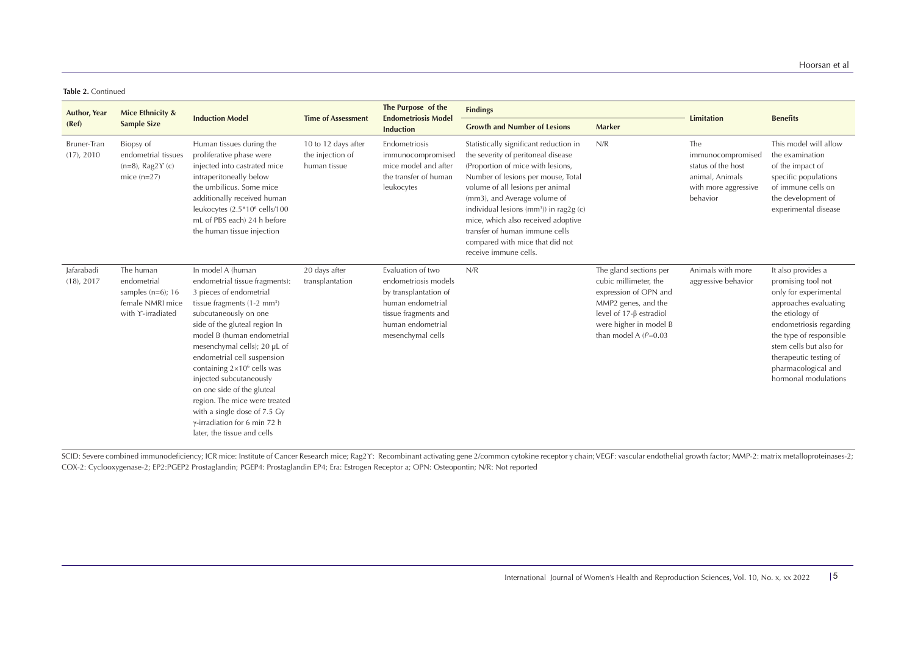**Table 2.** Continued

| <b>Author, Year</b>         | Mice Ethnicity &                                                                          | <b>Induction Model</b>                                                                                                                                                                                                                                                                                                                                                                                                                                                                                                | <b>Time of Assessment</b>                               | The Purpose of the<br><b>Endometriosis Model</b><br><b>Induction</b>                                                                                      | <b>Findings</b>                                                                                                                                                                                                                                                                                                                                                                                                        |                                                                                                                                                                                       | <b>Limitation</b>                                                                                     | <b>Benefits</b>                                                                                                                                                                                                                                                         |
|-----------------------------|-------------------------------------------------------------------------------------------|-----------------------------------------------------------------------------------------------------------------------------------------------------------------------------------------------------------------------------------------------------------------------------------------------------------------------------------------------------------------------------------------------------------------------------------------------------------------------------------------------------------------------|---------------------------------------------------------|-----------------------------------------------------------------------------------------------------------------------------------------------------------|------------------------------------------------------------------------------------------------------------------------------------------------------------------------------------------------------------------------------------------------------------------------------------------------------------------------------------------------------------------------------------------------------------------------|---------------------------------------------------------------------------------------------------------------------------------------------------------------------------------------|-------------------------------------------------------------------------------------------------------|-------------------------------------------------------------------------------------------------------------------------------------------------------------------------------------------------------------------------------------------------------------------------|
| (Ref)                       | <b>Sample Size</b>                                                                        |                                                                                                                                                                                                                                                                                                                                                                                                                                                                                                                       |                                                         |                                                                                                                                                           | <b>Growth and Number of Lesions</b>                                                                                                                                                                                                                                                                                                                                                                                    | <b>Marker</b>                                                                                                                                                                         |                                                                                                       |                                                                                                                                                                                                                                                                         |
| Bruner-Tran<br>(17), 2010   | Biopsy of<br>endometrial tissues<br>$(n=8)$ , Rag2 $\Upsilon$ (c)<br>mice $(n=27)$        | Human tissues during the<br>proliferative phase were<br>injected into castrated mice<br>intraperitoneally below<br>the umbilicus. Some mice<br>additionally received human<br>leukocytes (2.5*10 <sup>6</sup> cells/100<br>mL of PBS each) 24 h before<br>the human tissue injection                                                                                                                                                                                                                                  | 10 to 12 days after<br>the injection of<br>human tissue | Endometriosis<br>immunocompromised<br>mice model and after<br>the transfer of human<br>leukocytes                                                         | Statistically significant reduction in<br>the severity of peritoneal disease<br>(Proportion of mice with lesions,<br>Number of lesions per mouse, Total<br>volume of all lesions per animal<br>(mm3), and Average volume of<br>individual lesions (mm <sup>3</sup> )) in rag2g (c)<br>mice, which also received adoptive<br>transfer of human immune cells<br>compared with mice that did not<br>receive immune cells. | N/R                                                                                                                                                                                   | The<br>immunocompromised<br>status of the host<br>animal, Animals<br>with more aggressive<br>behavior | This model will allow<br>the examination<br>of the impact of<br>specific populations<br>of immune cells on<br>the development of<br>experimental disease                                                                                                                |
| Jafarabadi<br>$(18)$ , 2017 | The human<br>endometrial<br>samples $(n=6)$ ; 16<br>female NMRI mice<br>with Y-irradiated | In model A (human<br>endometrial tissue fragments):<br>3 pieces of endometrial<br>tissue fragments $(1-2 \text{ mm}^3)$<br>subcutaneously on one<br>side of the gluteal region In<br>model B (human endometrial<br>mesenchymal cells); 20 µL of<br>endometrial cell suspension<br>containing $2\times10^6$ cells was<br>injected subcutaneously<br>on one side of the gluteal<br>region. The mice were treated<br>with a single dose of 7.5 Gy<br>$\gamma$ -irradiation for 6 min 72 h<br>later, the tissue and cells | 20 days after<br>transplantation                        | Evaluation of two<br>endometriosis models<br>by transplantation of<br>human endometrial<br>tissue fragments and<br>human endometrial<br>mesenchymal cells | N/R                                                                                                                                                                                                                                                                                                                                                                                                                    | The gland sections per<br>cubic millimeter, the<br>expression of OPN and<br>MMP2 genes, and the<br>level of $17-\beta$ estradiol<br>were higher in model B<br>than model A $(P=0.03)$ | Animals with more<br>aggressive behavior                                                              | It also provides a<br>promising tool not<br>only for experimental<br>approaches evaluating<br>the etiology of<br>endometriosis regarding<br>the type of responsible<br>stem cells but also for<br>therapeutic testing of<br>pharmacological and<br>hormonal modulations |

SCID: Severe combined immunodeficiency; ICR mice: Institute of Cancer Research mice; Rag2Y: Recombinant activating gene 2/common cytokine receptor y chain; VEGF: vascular endothelial growth factor; MMP-2: matrix metallopro COX-2: Cyclooxygenase-2; EP2:PGEP2 Prostaglandin; PGEP4: Prostaglandin EP4; Era: Estrogen Receptor a; OPN: Osteopontin; N/R: Not reported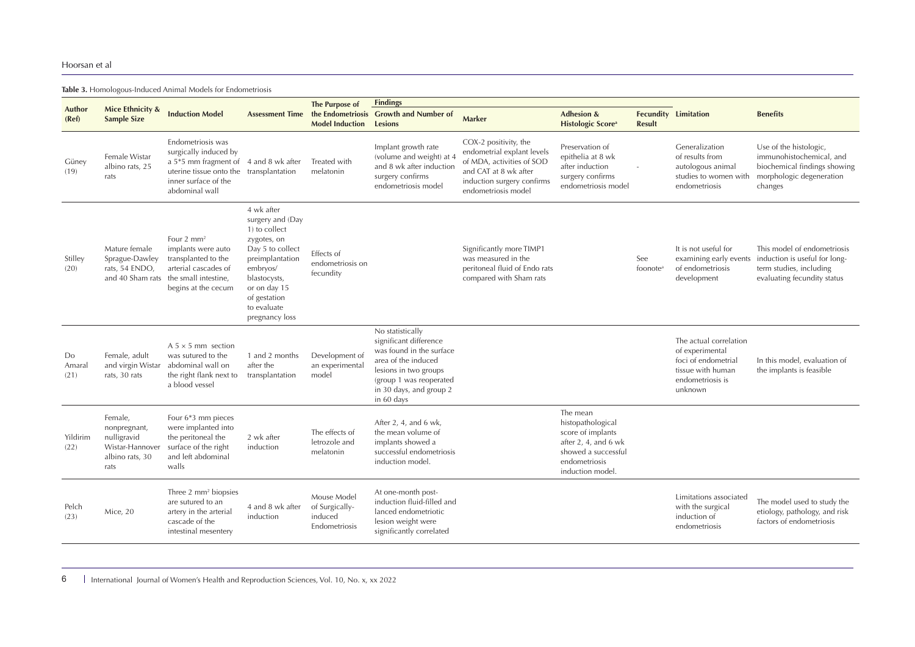**Table 3.** Homologous-Induced Animal Models for Endometriosis

|                      |                                                                                      |                                                                                                                                                                          |                                                                                                                                                                                                    | The Purpose of                                            | <b>Findings</b>                                                                                                                                                                            |                                                                                                                                                                |                                                                                                                                            |                             |                                                                                                                      |                                                                                                                           |
|----------------------|--------------------------------------------------------------------------------------|--------------------------------------------------------------------------------------------------------------------------------------------------------------------------|----------------------------------------------------------------------------------------------------------------------------------------------------------------------------------------------------|-----------------------------------------------------------|--------------------------------------------------------------------------------------------------------------------------------------------------------------------------------------------|----------------------------------------------------------------------------------------------------------------------------------------------------------------|--------------------------------------------------------------------------------------------------------------------------------------------|-----------------------------|----------------------------------------------------------------------------------------------------------------------|---------------------------------------------------------------------------------------------------------------------------|
| Author<br>(Ref)      | Mice Ethnicity &<br><b>Sample Size</b>                                               | <b>Induction Model</b>                                                                                                                                                   | <b>Assessment Time</b>                                                                                                                                                                             | <b>Model Induction</b>                                    | the Endometriosis Growth and Number of<br><b>Lesions</b>                                                                                                                                   | Marker                                                                                                                                                         | <b>Adhesion &amp;</b><br><b>Histologic Score</b> <sup>a</sup>                                                                              | <b>Result</b>               | <b>Fecundity Limitation</b>                                                                                          | <b>Benefits</b>                                                                                                           |
| Güney<br>(19)        | Female Wistar<br>albino rats, 25<br>rats                                             | Endometriosis was<br>surgically induced by<br>a 5*5 mm fragment of 4 and 8 wk after<br>uterine tissue onto the transplantation<br>inner surface of the<br>abdominal wall |                                                                                                                                                                                                    | Treated with<br>melatonin                                 | Implant growth rate<br>(volume and weight) at 4<br>and 8 wk after induction<br>surgery confirms<br>endometriosis model                                                                     | COX-2 positivity, the<br>endometrial explant levels<br>of MDA, activities of SOD<br>and CAT at 8 wk after<br>induction surgery confirms<br>endometriosis model | Preservation of<br>epithelia at 8 wk<br>after induction<br>surgery confirms<br>endometriosis model                                         |                             | Generalization<br>of results from<br>autologous animal<br>studies to women with<br>endometriosis                     | Use of the histologic,<br>immunohistochemical, and<br>biochemical findings showing<br>morphologic degeneration<br>changes |
| Stilley<br>(20)      | Mature female<br>Sprague-Dawley<br>rats, 54 ENDO,                                    | Four $2 \text{ mm}^2$<br>implants were auto<br>transplanted to the<br>arterial cascades of<br>and 40 Sham rats the small intestine,<br>begins at the cecum               | 4 wk after<br>surgery and (Day<br>1) to collect<br>zygotes, on<br>Day 5 to collect<br>preimplantation<br>embryos/<br>blastocysts,<br>or on day 15<br>of gestation<br>to evaluate<br>pregnancy loss | Effects of<br>endometriosis on<br>fecundity               |                                                                                                                                                                                            | Significantly more TIMP1<br>was measured in the<br>peritoneal fluid of Endo rats<br>compared with Sham rats                                                    |                                                                                                                                            | See<br>foonote <sup>a</sup> | It is not useful for<br>examining early events<br>of endometriosis<br>development                                    | This model of endometriosis<br>induction is useful for long-<br>term studies, including<br>evaluating fecundity status    |
| Do<br>Amaral<br>(21) | Female, adult<br>and virgin Wistar<br>rats, 30 rats                                  | $A$ 5 $\times$ 5 mm section<br>was sutured to the<br>abdominal wall on<br>the right flank next to<br>a blood vessel                                                      | 1 and 2 months<br>after the<br>transplantation                                                                                                                                                     | Development of<br>an experimental<br>model                | No statistically<br>significant difference<br>was found in the surface<br>area of the induced<br>lesions in two groups<br>(group 1 was reoperated<br>in 30 days, and group 2<br>in 60 days |                                                                                                                                                                |                                                                                                                                            |                             | The actual correlation<br>of experimental<br>foci of endometrial<br>tissue with human<br>endometriosis is<br>unknown | In this model, evaluation of<br>the implants is feasible                                                                  |
| Yildirim<br>(22)     | Female,<br>nonpregnant,<br>nulligravid<br>Wistar-Hannover<br>albino rats, 30<br>rats | Four 6*3 mm pieces<br>were implanted into<br>the peritoneal the<br>surface of the right<br>and left abdominal<br>walls                                                   | 2 wk after<br>induction                                                                                                                                                                            | The effects of<br>letrozole and<br>melatonin              | After 2, 4, and 6 wk,<br>the mean volume of<br>implants showed a<br>successful endometriosis<br>induction model.                                                                           |                                                                                                                                                                | The mean<br>histopathological<br>score of implants<br>after $2, 4$ , and $6$ wk<br>showed a successful<br>endometriosis<br>induction model |                             |                                                                                                                      |                                                                                                                           |
| Pelch<br>(23)        | Mice, 20                                                                             | Three $2 \, \text{mm}^2$ biopsies<br>are sutured to an<br>artery in the arterial<br>cascade of the<br>intestinal mesentery                                               | 4 and 8 wk after<br>induction                                                                                                                                                                      | Mouse Model<br>of Surgically-<br>induced<br>Endometriosis | At one-month post-<br>induction fluid-filled and<br>lanced endometriotic<br>lesion weight were<br>significantly correlated                                                                 |                                                                                                                                                                |                                                                                                                                            |                             | Limitations associated<br>with the surgical<br>induction of<br>endometriosis                                         | The model used to study the<br>etiology, pathology, and risk<br>factors of endometriosis                                  |

6 International Journal of Women's Health and Reproduction Sciences, Vol. 10, No. x, xx 2022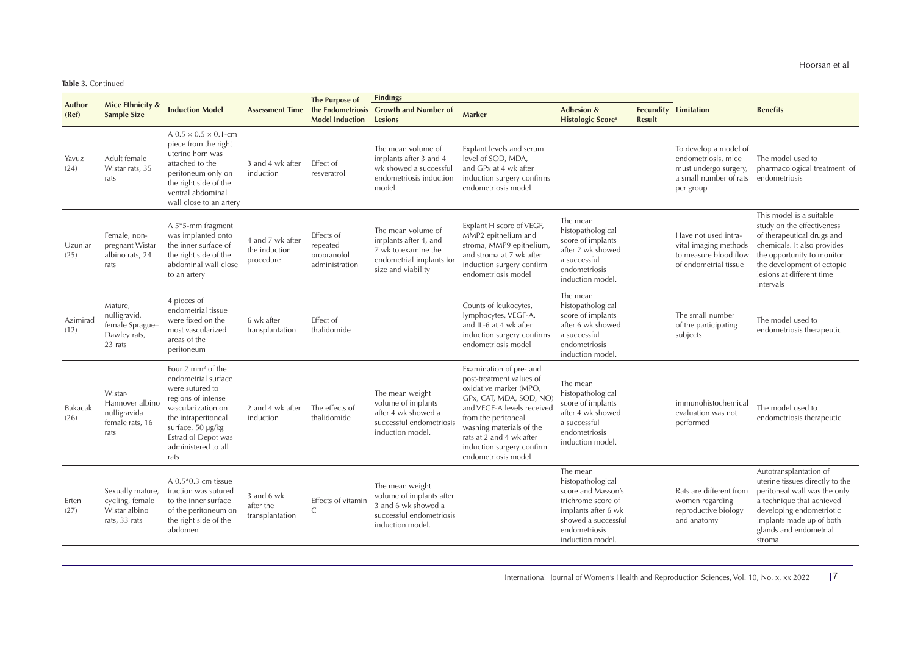**Table 3.** Continued

|                  |                                                                       |                                                                                                                                                                                                                      |                                                | The Purpose of                                          | <b>Findings</b>                                                                                                      |                                                                                                                                                                                                                                                                           |                                                                                                                                                              |               |                                                                                                              |                                                                                                                                                                                                                           |
|------------------|-----------------------------------------------------------------------|----------------------------------------------------------------------------------------------------------------------------------------------------------------------------------------------------------------------|------------------------------------------------|---------------------------------------------------------|----------------------------------------------------------------------------------------------------------------------|---------------------------------------------------------------------------------------------------------------------------------------------------------------------------------------------------------------------------------------------------------------------------|--------------------------------------------------------------------------------------------------------------------------------------------------------------|---------------|--------------------------------------------------------------------------------------------------------------|---------------------------------------------------------------------------------------------------------------------------------------------------------------------------------------------------------------------------|
| Author<br>(Ref)  | <b>Mice Ethnicity &amp;</b><br><b>Sample Size</b>                     | <b>Induction Model</b>                                                                                                                                                                                               |                                                | <b>Model Induction</b>                                  | Assessment Time the Endometriosis Growth and Number of<br><b>Lesions</b>                                             | <b>Marker</b>                                                                                                                                                                                                                                                             | <b>Adhesion &amp;</b><br><b>Histologic Score</b> <sup>a</sup>                                                                                                | <b>Result</b> | <b>Fecundity Limitation</b>                                                                                  | <b>Benefits</b>                                                                                                                                                                                                           |
| Yavuz<br>(24)    | Adult female<br>Wistar rats, 35<br>rats                               | $A$ 0.5 $\times$ 0.5 $\times$ 0.1-cm<br>piece from the right<br>uterine horn was<br>attached to the<br>peritoneum only on<br>the right side of the<br>ventral abdominal<br>wall close to an artery                   | 3 and 4 wk after<br>induction                  | Effect of<br>resveratrol                                | The mean volume of<br>implants after 3 and 4<br>wk showed a successful<br>endometriosis induction<br>model.          | Explant levels and serum<br>level of SOD, MDA,<br>and GPx at 4 wk after<br>induction surgery confirms<br>endometriosis model                                                                                                                                              |                                                                                                                                                              |               | To develop a model of<br>endometriosis, mice<br>must undergo surgery,<br>a small number of rats<br>per group | The model used to<br>pharmacological treatment of<br>endometriosis                                                                                                                                                        |
| Uzunlar<br>(25)  | Female, non-<br>pregnant Wistar<br>albino rats, 24<br>rats            | A 5*5-mm fragment<br>was implanted onto<br>the inner surface of<br>the right side of the<br>abdominal wall close<br>to an artery                                                                                     | 4 and 7 wk after<br>the induction<br>procedure | Effects of<br>repeated<br>propranolol<br>administration | The mean volume of<br>implants after 4, and<br>7 wk to examine the<br>endometrial implants for<br>size and viability | Explant H score of VEGF,<br>MMP2 epithelium and<br>stroma, MMP9 epithelium,<br>and stroma at 7 wk after<br>induction surgery confirm<br>endometriosis model                                                                                                               | The mean<br>histopathological<br>score of implants<br>after 7 wk showed<br>a successful<br>endometriosis<br>induction model.                                 |               | Have not used intra-<br>vital imaging methods<br>to measure blood flow<br>of endometrial tissue              | This model is a suitable<br>study on the effectiveness<br>of therapeutical drugs and<br>chemicals. It also provides<br>the opportunity to monitor<br>the development of ectopic<br>lesions at different time<br>intervals |
| Azimirad<br>(12) | Mature,<br>nulligravid,<br>female Sprague-<br>Dawley rats,<br>23 rats | 4 pieces of<br>endometrial tissue<br>were fixed on the<br>most vascularized<br>areas of the<br>peritoneum                                                                                                            | 6 wk after<br>transplantation                  | Effect of<br>thalidomide                                |                                                                                                                      | Counts of leukocytes,<br>lymphocytes, VEGF-A,<br>and IL-6 at 4 wk after<br>induction surgery confirms<br>endometriosis model                                                                                                                                              | The mean<br>histopathological<br>score of implants<br>after 6 wk showed<br>a successful<br>endometriosis<br>induction model.                                 |               | The small number<br>of the participating<br>subjects                                                         | The model used to<br>endometriosis therapeutic                                                                                                                                                                            |
| Bakacak<br>(26)  | Wistar-<br>Hannover albino<br>nulligravida<br>female rats, 16<br>rats | Four $2 \text{ mm}^2$ of the<br>endometrial surface<br>were sutured to<br>regions of intense<br>vascularization on<br>the intraperitoneal<br>surface, 50 µg/kg<br>Estradiol Depot was<br>administered to all<br>rats | 2 and 4 wk after<br>induction                  | The effects of<br>thalidomide                           | The mean weight<br>volume of implants<br>after 4 wk showed a<br>successful endometriosis<br>induction model.         | Examination of pre- and<br>post-treatment values of<br>oxidative marker (MPO,<br>GPx, CAT, MDA, SOD, NO)<br>and VEGF-A levels received<br>from the peritoneal<br>washing materials of the<br>rats at 2 and 4 wk after<br>induction surgery confirm<br>endometriosis model | The mean<br>histopathological<br>score of implants<br>after 4 wk showed<br>a successful<br>endometriosis<br>induction model.                                 |               | immunohistochemical<br>evaluation was not<br>performed                                                       | The model used to<br>endometriosis therapeutic                                                                                                                                                                            |
| Erten<br>(27)    | Sexually mature,<br>cycling, female<br>Wistar albino<br>rats, 33 rats | $A$ 0.5 $*$ 0.3 cm tissue<br>fraction was sutured<br>to the inner surface<br>of the peritoneum on<br>the right side of the<br>abdomen                                                                                | 3 and 6 wk<br>after the<br>transplantation     | Effects of vitamir<br>$\mathsf{C}$                      | The mean weight<br>volume of implants after<br>3 and 6 wk showed a<br>successful endometriosis<br>induction model.   |                                                                                                                                                                                                                                                                           | The mean<br>histopathological<br>score and Masson's<br>trichrome score of<br>implants after 6 wk<br>showed a successful<br>endometriosis<br>induction model. |               | Rats are different from<br>women regarding<br>reproductive biology<br>and anatomy                            | Autotransplantation of<br>uterine tissues directly to the<br>peritoneal wall was the only<br>a technique that achieved<br>developing endometriotic<br>implants made up of both<br>glands and endometrial<br>stroma        |

International Journal of Women's Health and Reproduction Sciences, Vol. 10, No. x, xx 2022 <sup>7</sup>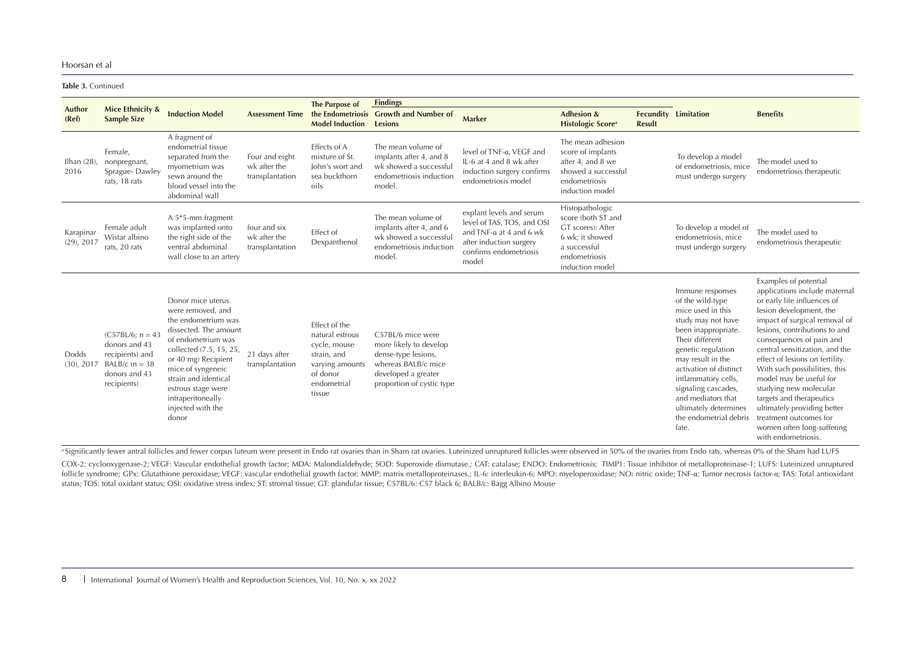**Table 3.** Continued

|                            | Mice Ethnicity &                                                                                            |                                                                                                                                                                                                                                                                                      |                                                   | The Purpose of                                                                                                          | <b>Findings</b>                                                                                                                               |                                                                                                                                                 |                                                                                                                                   |               |                                                                                                                                                                                                                                                                                                                                |                                                                                                                                                                                                                                                                                                                                                                                                                                                                                                                     |
|----------------------------|-------------------------------------------------------------------------------------------------------------|--------------------------------------------------------------------------------------------------------------------------------------------------------------------------------------------------------------------------------------------------------------------------------------|---------------------------------------------------|-------------------------------------------------------------------------------------------------------------------------|-----------------------------------------------------------------------------------------------------------------------------------------------|-------------------------------------------------------------------------------------------------------------------------------------------------|-----------------------------------------------------------------------------------------------------------------------------------|---------------|--------------------------------------------------------------------------------------------------------------------------------------------------------------------------------------------------------------------------------------------------------------------------------------------------------------------------------|---------------------------------------------------------------------------------------------------------------------------------------------------------------------------------------------------------------------------------------------------------------------------------------------------------------------------------------------------------------------------------------------------------------------------------------------------------------------------------------------------------------------|
| Author<br>(Ref)            | <b>Sample Size</b>                                                                                          | <b>Induction Model</b>                                                                                                                                                                                                                                                               | <b>Assessment Time</b>                            | <b>Model Induction</b>                                                                                                  | the Endometriosis Growth and Number of<br><b>Lesions</b>                                                                                      | Marker                                                                                                                                          | <b>Adhesion &amp;</b><br><b>Histologic Score</b> <sup>a</sup>                                                                     | <b>Result</b> | <b>Fecundity Limitation</b>                                                                                                                                                                                                                                                                                                    | <b>Benefits</b>                                                                                                                                                                                                                                                                                                                                                                                                                                                                                                     |
| Ilhan $(28)$ ,<br>2016     | Female,<br>nonpregnant,<br>Sprague-Dawley<br>rats, 18 rats                                                  | A fragment of<br>endometrial tissue<br>separated from the<br>myometrium was<br>sewn around the<br>blood vessel into the<br>abdominal wall                                                                                                                                            | Four and eight<br>wk after the<br>transplantation | Effects of A<br>mixture of St.<br>lohn's wort and<br>sea buckthorn<br>oils                                              | The mean volume of<br>implants after 4, and 8<br>wk showed a successful<br>endometriosis induction<br>model                                   | level of TNF-a. VEGF and<br>IL-6 at 4 and 8 wk after<br>induction surgery confirms<br>endometriosis model                                       | The mean adhesion<br>score of implants<br>after 4, and 8 we<br>showed a successful<br>endometriosis<br>induction model            |               | To develop a model<br>of endometriosis, mice<br>must undergo surgery                                                                                                                                                                                                                                                           | The model used to<br>endometriosis therapeutic                                                                                                                                                                                                                                                                                                                                                                                                                                                                      |
| Karapinar<br>$(29)$ , 2017 | Female adult<br>Wistar albino<br>rats, 20 rats                                                              | A 5*5-mm fragment<br>was implanted onto<br>the right side of the<br>ventral abdominal<br>wall close to an artery                                                                                                                                                                     | four and six<br>wk after the<br>transplantation   | Effect of<br>Dexpanthenol                                                                                               | The mean volume of<br>implants after 4, and 6<br>wk showed a successful<br>endometriosis induction<br>model.                                  | explant levels and serum<br>level of TAS, TOS, and OSI<br>and TNF-a at 4 and 6 wk<br>after induction surgery<br>confirms endometriosis<br>model | Histopathologic<br>score (both ST and<br>GT scores): After<br>6 wk; it showed<br>a successful<br>endometriosis<br>induction model |               | To develop a model of<br>endometriosis, mice<br>must undergo surgery                                                                                                                                                                                                                                                           | The model used to<br>endometriosis therapeutic                                                                                                                                                                                                                                                                                                                                                                                                                                                                      |
| Dodds<br>(30), 2017        | $(C57BL/6; n = 43$<br>donors and 43<br>recipients) and<br>BALB/c ( $n = 38$<br>donors and 43<br>recipients) | Donor mice uterus<br>were removed, and<br>the endometrium was<br>dissected. The amount<br>of endometrium was<br>collected (7.5, 15, 25,<br>or 40 mg) Recipient<br>mice of syngeneic<br>strain and identical<br>estrous stage were<br>intraperitoneally<br>injected with the<br>donor | 21 days after<br>transplantation                  | Effect of the<br>natural estrous<br>cycle, mouse<br>strain, and<br>varying amounts<br>of donor<br>endometrial<br>tissue | C57BL/6 mice were<br>more likely to develop<br>dense-type lesions,<br>whereas BALB/c mice<br>developed a greater<br>proportion of cystic type |                                                                                                                                                 |                                                                                                                                   |               | Immune responses<br>of the wild-type<br>mice used in this<br>study may not have<br>been inappropriate.<br>Their different<br>genetic regulation<br>may result in the<br>activation of distinct<br>inflammatory cells,<br>signaling cascades,<br>and mediators that<br>ultimately determines<br>the endometrial debris<br>fate. | Examples of potential<br>applications include maternal<br>or early life influences of<br>lesion development, the<br>impact of surgical removal of<br>lesions, contributions to and<br>consequences of pain and<br>central sensitization, and the<br>effect of lesions on fertility.<br>With such possibilities, this<br>model may be useful for<br>studying new molecular<br>targets and therapeutics<br>ultimately providing better<br>treatment outcomes for<br>women often long-suffering<br>with endometriosis. |

a Significantly fewer antral follicles and fewer corpus luteum were present in Endo rat ovaries than in Sham rat ovaries. Luteinized unruptured follicles were observed in 50% of the ovaries from Endo rats, whereas 0% of th

COX-2: cyclooxygenase-2; VEGF: Vascular endothelial growth factor; MDA: Malondialdehyde; SOD: Superoxide dismutase.; CAT: catalase; ENDO: Endometriosis; TIMP1: Tissue inhibitor of metalloproteinase-1; LUFS: Luteinized unru follicle syndrome; GPx: Glutathione peroxidase; VEGF: vascular endothelial growth factor; MMP: matrix metalloproteinases.; IL-6: interleukin-6; MPO: myeloperoxidase; NO: nitric oxide; TNF-a: Tumor necrosis factor-a; TAS: T status; TOS: total oxidant status; OSI: oxidative stress index; ST: stromal tissue; GT: glandular tissue; C57BL/6: C57 black 6; BALB/c: Bagg Albino Mouse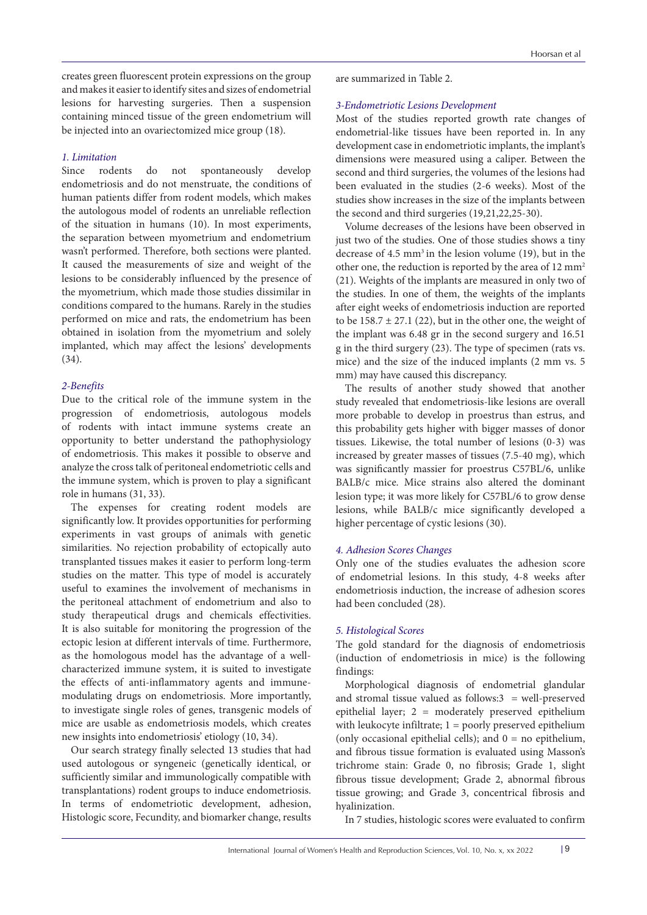creates green fluorescent protein expressions on the group and makes it easier to identify sites and sizes of endometrial lesions for harvesting surgeries. Then a suspension containing minced tissue of the green endometrium will be injected into an ovariectomized mice group (18).

# *1. Limitation*

Since rodents do not spontaneously develop endometriosis and do not menstruate, the conditions of human patients differ from rodent models, which makes the autologous model of rodents an unreliable reflection of the situation in humans (10). In most experiments, the separation between myometrium and endometrium wasn't performed. Therefore, both sections were planted. It caused the measurements of size and weight of the lesions to be considerably influenced by the presence of the myometrium, which made those studies dissimilar in conditions compared to the humans. Rarely in the studies performed on mice and rats, the endometrium has been obtained in isolation from the myometrium and solely implanted, which may affect the lesions' developments (34).

## *2-Benefits*

Due to the critical role of the immune system in the progression of endometriosis, autologous models of rodents with intact immune systems create an opportunity to better understand the pathophysiology of endometriosis. This makes it possible to observe and analyze the cross talk of peritoneal endometriotic cells and the immune system, which is proven to play a significant role in humans (31, 33).

The expenses for creating rodent models are significantly low. It provides opportunities for performing experiments in vast groups of animals with genetic similarities. No rejection probability of ectopically auto transplanted tissues makes it easier to perform long-term studies on the matter. This type of model is accurately useful to examines the involvement of mechanisms in the peritoneal attachment of endometrium and also to study therapeutical drugs and chemicals effectivities. It is also suitable for monitoring the progression of the ectopic lesion at different intervals of time. Furthermore, as the homologous model has the advantage of a wellcharacterized immune system, it is suited to investigate the effects of anti-inflammatory agents and immunemodulating drugs on endometriosis. More importantly, to investigate single roles of genes, transgenic models of mice are usable as endometriosis models, which creates new insights into endometriosis' etiology (10, 34).

Our search strategy finally selected 13 studies that had used autologous or syngeneic (genetically identical, or sufficiently similar and immunologically compatible with transplantations) rodent groups to induce endometriosis. In terms of endometriotic development, adhesion, Histologic score, Fecundity, and biomarker change, results

are summarized in Table 2.

# *3-Endometriotic Lesions Development*

Most of the studies reported growth rate changes of endometrial-like tissues have been reported in. In any development case in endometriotic implants, the implant's dimensions were measured using a caliper. Between the second and third surgeries, the volumes of the lesions had been evaluated in the studies (2-6 weeks). Most of the studies show increases in the size of the implants between the second and third surgeries (19,21,22,25-30).

Volume decreases of the lesions have been observed in just two of the studies. One of those studies shows a tiny decrease of  $4.5 \text{ mm}^3$  in the lesion volume (19), but in the other one, the reduction is reported by the area of 12 mm<sup>2</sup> (21). Weights of the implants are measured in only two of the studies. In one of them, the weights of the implants after eight weeks of endometriosis induction are reported to be  $158.7 \pm 27.1$  (22), but in the other one, the weight of the implant was 6.48 gr in the second surgery and 16.51 g in the third surgery (23). The type of specimen (rats vs. mice) and the size of the induced implants (2 mm vs. 5 mm) may have caused this discrepancy.

The results of another study showed that another study revealed that endometriosis-like lesions are overall more probable to develop in proestrus than estrus, and this probability gets higher with bigger masses of donor tissues. Likewise, the total number of lesions (0-3) was increased by greater masses of tissues (7.5-40 mg), which was significantly massier for proestrus C57BL/6, unlike BALB/c mice. Mice strains also altered the dominant lesion type; it was more likely for C57BL/6 to grow dense lesions, while BALB/c mice significantly developed a higher percentage of cystic lesions (30).

# *4. Adhesion Scores Changes*

Only one of the studies evaluates the adhesion score of endometrial lesions. In this study, 4-8 weeks after endometriosis induction, the increase of adhesion scores had been concluded (28).

#### *5. Histological Scores*

The gold standard for the diagnosis of endometriosis (induction of endometriosis in mice) is the following findings:

Morphological diagnosis of endometrial glandular and stromal tissue valued as follows: $3 =$  well-preserved epithelial layer; 2 = moderately preserved epithelium with leukocyte infiltrate;  $1 =$  poorly preserved epithelium (only occasional epithelial cells); and  $0 =$  no epithelium, and fibrous tissue formation is evaluated using Masson's trichrome stain: Grade 0, no fibrosis; Grade 1, slight fibrous tissue development; Grade 2, abnormal fibrous tissue growing; and Grade 3, concentrical fibrosis and hyalinization.

In 7 studies, histologic scores were evaluated to confirm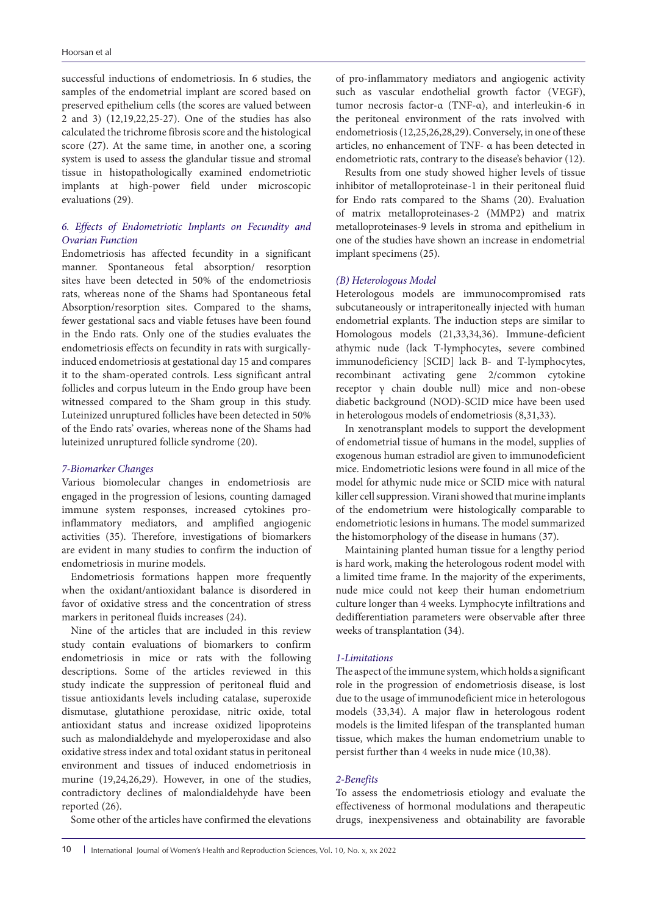successful inductions of endometriosis. In 6 studies, the samples of the endometrial implant are scored based on preserved epithelium cells (the scores are valued between 2 and 3) (12,19,22,25-27). One of the studies has also calculated the trichrome fibrosis score and the histological score (27). At the same time, in another one, a scoring system is used to assess the glandular tissue and stromal tissue in histopathologically examined endometriotic implants at high-power field under microscopic evaluations (29).

# *6. Effects of Endometriotic Implants on Fecundity and Ovarian Function*

Endometriosis has affected fecundity in a significant manner. Spontaneous fetal absorption/ resorption sites have been detected in 50% of the endometriosis rats, whereas none of the Shams had Spontaneous fetal Absorption/resorption sites. Compared to the shams, fewer gestational sacs and viable fetuses have been found in the Endo rats. Only one of the studies evaluates the endometriosis effects on fecundity in rats with surgicallyinduced endometriosis at gestational day 15 and compares it to the sham-operated controls. Less significant antral follicles and corpus luteum in the Endo group have been witnessed compared to the Sham group in this study. Luteinized unruptured follicles have been detected in 50% of the Endo rats' ovaries, whereas none of the Shams had luteinized unruptured follicle syndrome (20).

#### *7-Biomarker Changes*

Various biomolecular changes in endometriosis are engaged in the progression of lesions, counting damaged immune system responses, increased cytokines proinflammatory mediators, and amplified angiogenic activities (35). Therefore, investigations of biomarkers are evident in many studies to confirm the induction of endometriosis in murine models.

Endometriosis formations happen more frequently when the oxidant/antioxidant balance is disordered in favor of oxidative stress and the concentration of stress markers in peritoneal fluids increases (24).

Nine of the articles that are included in this review study contain evaluations of biomarkers to confirm endometriosis in mice or rats with the following descriptions. Some of the articles reviewed in this study indicate the suppression of peritoneal fluid and tissue antioxidants levels including catalase, superoxide dismutase, glutathione peroxidase, nitric oxide, total antioxidant status and increase oxidized lipoproteins such as malondialdehyde and myeloperoxidase and also oxidative stress index and total oxidant status in peritoneal environment and tissues of induced endometriosis in murine (19,24,26,29). However, in one of the studies, contradictory declines of malondialdehyde have been reported (26).

Some other of the articles have confirmed the elevations

of pro-inflammatory mediators and angiogenic activity such as vascular endothelial growth factor (VEGF), tumor necrosis factor-α (TNF-α), and interleukin-6 in the peritoneal environment of the rats involved with endometriosis (12,25,26,28,29). Conversely, in one of these articles, no enhancement of TNF- α has been detected in endometriotic rats, contrary to the disease's behavior (12).

Results from one study showed higher levels of tissue inhibitor of metalloproteinase-1 in their peritoneal fluid for Endo rats compared to the Shams (20). Evaluation of matrix metalloproteinases-2 (MMP2) and matrix metalloproteinases-9 levels in stroma and epithelium in one of the studies have shown an increase in endometrial implant specimens (25).

# *(B) Heterologous Model*

Heterologous models are immunocompromised rats subcutaneously or intraperitoneally injected with human endometrial explants. The induction steps are similar to Homologous models (21,33,34,36). Immune-deficient athymic nude (lack T-lymphocytes, severe combined immunodeficiency [SCID] lack B- and T-lymphocytes, recombinant activating gene 2/common cytokine receptor γ chain double null) mice and non-obese diabetic background (NOD)-SCID mice have been used in heterologous models of endometriosis (8,31,33).

In xenotransplant models to support the development of endometrial tissue of humans in the model, supplies of exogenous human estradiol are given to immunodeficient mice. Endometriotic lesions were found in all mice of the model for athymic nude mice or SCID mice with natural killer cell suppression. Virani showed that murine implants of the endometrium were histologically comparable to endometriotic lesions in humans. The model summarized the histomorphology of the disease in humans (37).

Maintaining planted human tissue for a lengthy period is hard work, making the heterologous rodent model with a limited time frame. In the majority of the experiments, nude mice could not keep their human endometrium culture longer than 4 weeks. Lymphocyte infiltrations and dedifferentiation parameters were observable after three weeks of transplantation (34).

#### *1-Limitations*

The aspect of the immune system, which holds a significant role in the progression of endometriosis disease, is lost due to the usage of immunodeficient mice in heterologous models (33,34). A major flaw in heterologous rodent models is the limited lifespan of the transplanted human tissue, which makes the human endometrium unable to persist further than 4 weeks in nude mice (10,38).

#### *2-Benefits*

To assess the endometriosis etiology and evaluate the effectiveness of hormonal modulations and therapeutic drugs, inexpensiveness and obtainability are favorable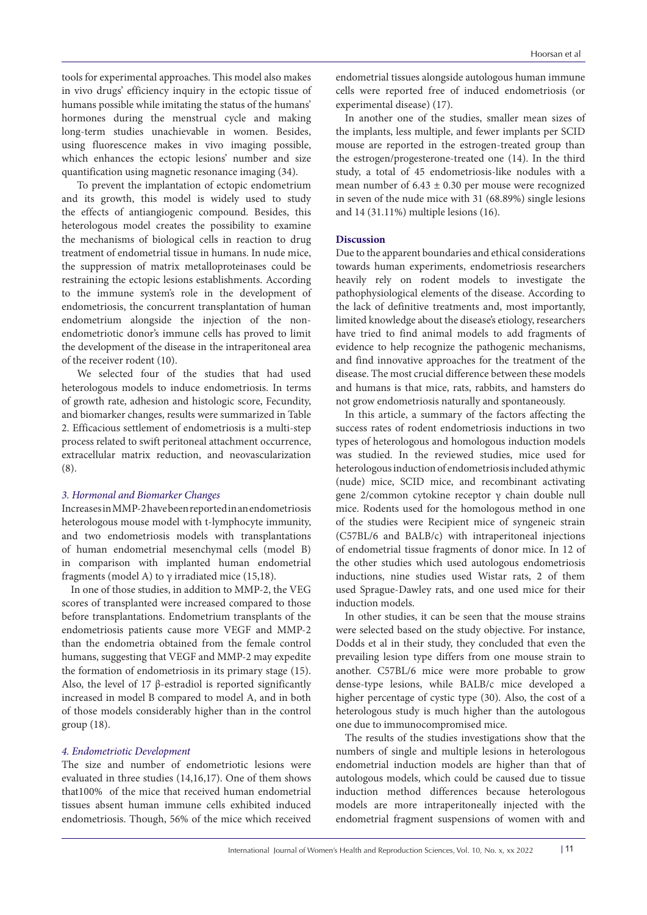tools for experimental approaches. This model also makes in vivo drugs' efficiency inquiry in the ectopic tissue of humans possible while imitating the status of the humans' hormones during the menstrual cycle and making long-term studies unachievable in women. Besides, using fluorescence makes in vivo imaging possible, which enhances the ectopic lesions' number and size quantification using magnetic resonance imaging (34).

To prevent the implantation of ectopic endometrium and its growth, this model is widely used to study the effects of antiangiogenic compound. Besides, this heterologous model creates the possibility to examine the mechanisms of biological cells in reaction to drug treatment of endometrial tissue in humans. In nude mice, the suppression of matrix metalloproteinases could be restraining the ectopic lesions establishments. According to the immune system's role in the development of endometriosis, the concurrent transplantation of human endometrium alongside the injection of the nonendometriotic donor's immune cells has proved to limit the development of the disease in the intraperitoneal area of the receiver rodent (10).

We selected four of the studies that had used heterologous models to induce endometriosis. In terms of growth rate, adhesion and histologic score, Fecundity, and biomarker changes, results were summarized in Table 2. Efficacious settlement of endometriosis is a multi-step process related to swift peritoneal attachment occurrence, extracellular matrix reduction, and neovascularization (8).

#### *3. Hormonal and Biomarker Changes*

Increases in MMP-2 have been reported in an endometriosis heterologous mouse model with t-lymphocyte immunity, and two endometriosis models with transplantations of human endometrial mesenchymal cells (model B) in comparison with implanted human endometrial fragments (model A) to  $\gamma$  irradiated mice (15,18).

In one of those studies, in addition to MMP-2, the VEG scores of transplanted were increased compared to those before transplantations. Endometrium transplants of the endometriosis patients cause more VEGF and MMP-2 than the endometria obtained from the female control humans, suggesting that VEGF and MMP-2 may expedite the formation of endometriosis in its primary stage (15). Also, the level of 17 β-estradiol is reported significantly increased in model B compared to model A, and in both of those models considerably higher than in the control group (18).

#### *4. Endometriotic Development*

The size and number of endometriotic lesions were evaluated in three studies (14,16,17). One of them shows that100% of the mice that received human endometrial tissues absent human immune cells exhibited induced endometriosis. Though, 56% of the mice which received endometrial tissues alongside autologous human immune cells were reported free of induced endometriosis (or experimental disease) (17).

In another one of the studies, smaller mean sizes of the implants, less multiple, and fewer implants per SCID mouse are reported in the estrogen-treated group than the estrogen/progesterone-treated one (14). In the third study, a total of 45 endometriosis-like nodules with a mean number of  $6.43 \pm 0.30$  per mouse were recognized in seven of the nude mice with 31 (68.89%) single lesions and 14 (31.11%) multiple lesions (16).

#### **Discussion**

Due to the apparent boundaries and ethical considerations towards human experiments, endometriosis researchers heavily rely on rodent models to investigate the pathophysiological elements of the disease. According to the lack of definitive treatments and, most importantly, limited knowledge about the disease's etiology, researchers have tried to find animal models to add fragments of evidence to help recognize the pathogenic mechanisms, and find innovative approaches for the treatment of the disease. The most crucial difference between these models and humans is that mice, rats, rabbits, and hamsters do not grow endometriosis naturally and spontaneously.

In this article, a summary of the factors affecting the success rates of rodent endometriosis inductions in two types of heterologous and homologous induction models was studied. In the reviewed studies, mice used for heterologous induction of endometriosis included athymic (nude) mice, SCID mice, and recombinant activating gene 2/common cytokine receptor γ chain double null mice. Rodents used for the homologous method in one of the studies were Recipient mice of syngeneic strain (C57BL/6 and BALB/c) with intraperitoneal injections of endometrial tissue fragments of donor mice. In 12 of the other studies which used autologous endometriosis inductions, nine studies used Wistar rats, 2 of them used Sprague-Dawley rats, and one used mice for their induction models.

In other studies, it can be seen that the mouse strains were selected based on the study objective. For instance, Dodds et al in their study, they concluded that even the prevailing lesion type differs from one mouse strain to another. C57BL/6 mice were more probable to grow dense-type lesions, while BALB/c mice developed a higher percentage of cystic type (30). Also, the cost of a heterologous study is much higher than the autologous one due to immunocompromised mice.

The results of the studies investigations show that the numbers of single and multiple lesions in heterologous endometrial induction models are higher than that of autologous models, which could be caused due to tissue induction method differences because heterologous models are more intraperitoneally injected with the endometrial fragment suspensions of women with and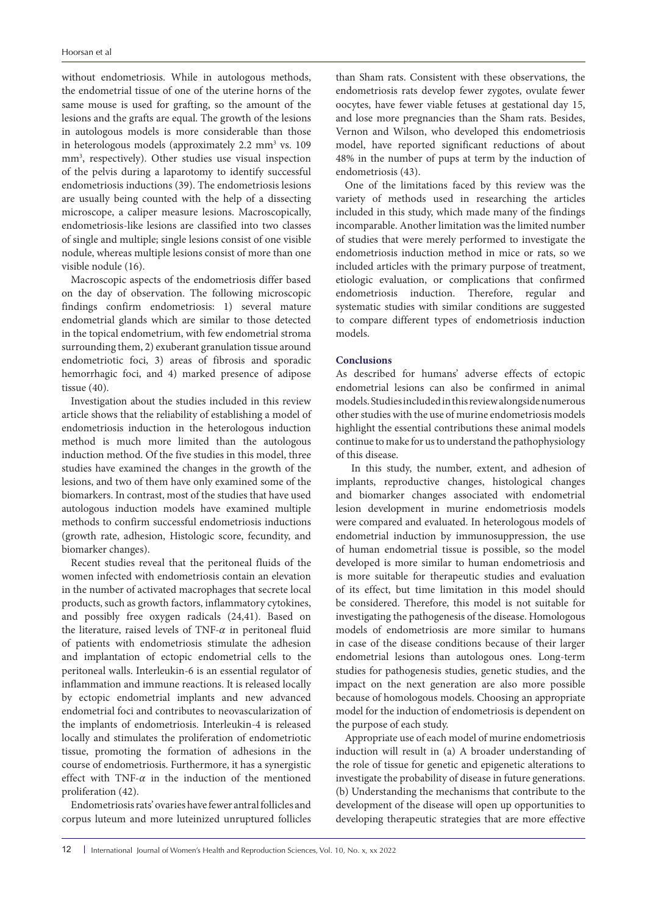without endometriosis. While in autologous methods, the endometrial tissue of one of the uterine horns of the same mouse is used for grafting, so the amount of the lesions and the grafts are equal. The growth of the lesions in autologous models is more considerable than those in heterologous models (approximately 2.2 mm<sup>3</sup> vs. 109 mm3 , respectively). Other studies use visual inspection of the pelvis during a laparotomy to identify successful endometriosis inductions (39). The endometriosis lesions are usually being counted with the help of a dissecting microscope, a caliper measure lesions. Macroscopically, endometriosis-like lesions are classified into two classes of single and multiple; single lesions consist of one visible nodule, whereas multiple lesions consist of more than one visible nodule (16).

Macroscopic aspects of the endometriosis differ based on the day of observation. The following microscopic findings confirm endometriosis: 1) several mature endometrial glands which are similar to those detected in the topical endometrium, with few endometrial stroma surrounding them, 2) exuberant granulation tissue around endometriotic foci, 3) areas of fibrosis and sporadic hemorrhagic foci, and 4) marked presence of adipose tissue (40).

Investigation about the studies included in this review article shows that the reliability of establishing a model of endometriosis induction in the heterologous induction method is much more limited than the autologous induction method. Of the five studies in this model, three studies have examined the changes in the growth of the lesions, and two of them have only examined some of the biomarkers. In contrast, most of the studies that have used autologous induction models have examined multiple methods to confirm successful endometriosis inductions (growth rate, adhesion, Histologic score, fecundity, and biomarker changes).

Recent studies reveal that the peritoneal fluids of the women infected with endometriosis contain an elevation in the number of activated macrophages that secrete local products, such as growth factors, inflammatory cytokines, and possibly free oxygen radicals (24,41). Based on the literature, raised levels of TNF- $\alpha$  in peritoneal fluid of patients with endometriosis stimulate the adhesion and implantation of ectopic endometrial cells to the peritoneal walls. Interleukin-6 is an essential regulator of inflammation and immune reactions. It is released locally by ectopic endometrial implants and new advanced endometrial foci and contributes to neovascularization of the implants of endometriosis. Interleukin-4 is released locally and stimulates the proliferation of endometriotic tissue, promoting the formation of adhesions in the course of endometriosis. Furthermore, it has a synergistic effect with TNF- $\alpha$  in the induction of the mentioned proliferation (42).

Endometriosis rats' ovaries have fewer antral follicles and corpus luteum and more luteinized unruptured follicles

than Sham rats. Consistent with these observations, the endometriosis rats develop fewer zygotes, ovulate fewer oocytes, have fewer viable fetuses at gestational day 15, and lose more pregnancies than the Sham rats. Besides, Vernon and Wilson, who developed this endometriosis model, have reported significant reductions of about 48% in the number of pups at term by the induction of endometriosis (43).

One of the limitations faced by this review was the variety of methods used in researching the articles included in this study, which made many of the findings incomparable. Another limitation was the limited number of studies that were merely performed to investigate the endometriosis induction method in mice or rats, so we included articles with the primary purpose of treatment, etiologic evaluation, or complications that confirmed endometriosis induction. Therefore, regular and systematic studies with similar conditions are suggested to compare different types of endometriosis induction models.

### **Conclusions**

As described for humans' adverse effects of ectopic endometrial lesions can also be confirmed in animal models. Studies included in this review alongside numerous other studies with the use of murine endometriosis models highlight the essential contributions these animal models continue to make for us to understand the pathophysiology of this disease.

In this study, the number, extent, and adhesion of implants, reproductive changes, histological changes and biomarker changes associated with endometrial lesion development in murine endometriosis models were compared and evaluated. In heterologous models of endometrial induction by immunosuppression, the use of human endometrial tissue is possible, so the model developed is more similar to human endometriosis and is more suitable for therapeutic studies and evaluation of its effect, but time limitation in this model should be considered. Therefore, this model is not suitable for investigating the pathogenesis of the disease. Homologous models of endometriosis are more similar to humans in case of the disease conditions because of their larger endometrial lesions than autologous ones. Long-term studies for pathogenesis studies, genetic studies, and the impact on the next generation are also more possible because of homologous models. Choosing an appropriate model for the induction of endometriosis is dependent on the purpose of each study.

Appropriate use of each model of murine endometriosis induction will result in (a) A broader understanding of the role of tissue for genetic and epigenetic alterations to investigate the probability of disease in future generations. (b) Understanding the mechanisms that contribute to the development of the disease will open up opportunities to developing therapeutic strategies that are more effective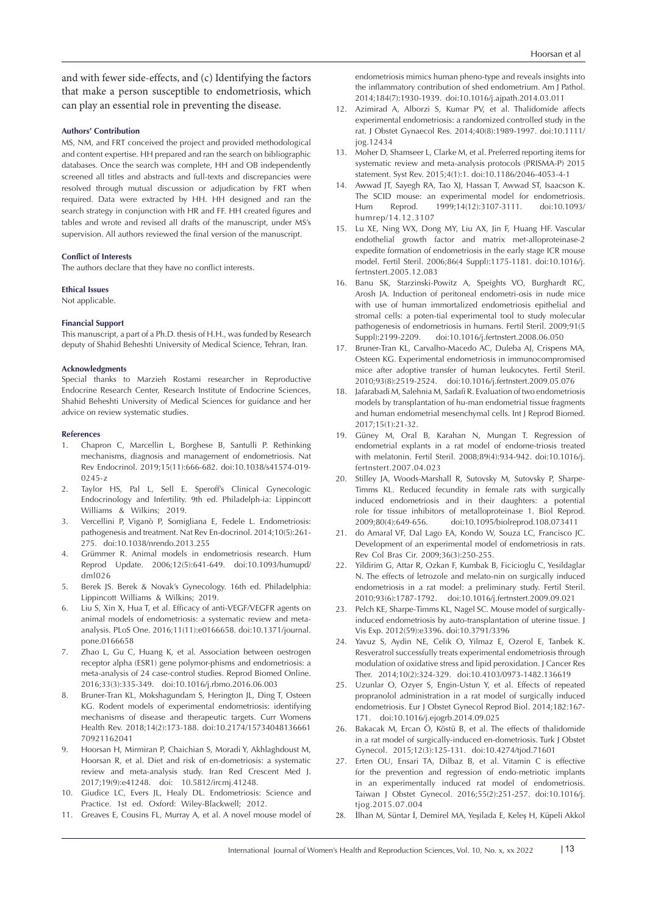and with fewer side-effects, and (c) Identifying the factors that make a person susceptible to endometriosis, which can play an essential role in preventing the disease.

#### **Authors' Contribution**

MS, NM, and FRT conceived the project and provided methodological and content expertise. HH prepared and ran the search on bibliographic databases. Once the search was complete, HH and OB independently screened all titles and abstracts and full-texts and discrepancies were resolved through mutual discussion or adjudication by FRT when required. Data were extracted by HH. HH designed and ran the search strategy in conjunction with HR and FF. HH created figures and tables and wrote and revised all drafts of the manuscript, under MS's supervision. All authors reviewed the final version of the manuscript.

#### **Conflict of Interests**

The authors declare that they have no conflict interests.

#### **Ethical Issues**

Not applicable.

#### **Financial Support**

This manuscript, a part of a Ph.D. thesis of H.H., was funded by Research deputy of Shahid Beheshti University of Medical Science, Tehran, Iran.

#### **Acknowledgments**

Special thanks to Marzieh Rostami researcher in Reproductive Endocrine Research Center, Research Institute of Endocrine Sciences, Shahid Beheshti University of Medical Sciences for guidance and her advice on review systematic studies.

#### **References**

- 1. Chapron C, Marcellin L, Borghese B, Santulli P. Rethinking mechanisms, diagnosis and management of endometriosis. Nat Rev Endocrinol. 2019;15(11):666-682. doi:10.1038/s41574-019- 0245-z
- 2. Taylor HS, Pal L, Sell E. Speroff's Clinical Gynecologic Endocrinology and Infertility. 9th ed. Philadelph-ia: Lippincott Williams & Wilkins; 2019.
- 3. Vercellini P, Viganò P, Somigliana E, Fedele L. Endometriosis: pathogenesis and treatment. Nat Rev En-docrinol. 2014;10(5):261- 275. doi:10.1038/nrendo.2013.255
- 4. Grümmer R. Animal models in endometriosis research. Hum Reprod Update. 2006;12(5):641-649. doi:10.1093/humupd/ dml026
- 5. Berek JS. Berek & Novak's Gynecology. 16th ed. Philadelphia: Lippincott Williams & Wilkins; 2019.
- 6. Liu S, Xin X, Hua T, et al. Efficacy of anti-VEGF/VEGFR agents on animal models of endometriosis: a systematic review and metaanalysis. PLoS One. 2016;11(11):e0166658. doi:10.1371/journal. pone.0166658
- Zhao L, Gu C, Huang K, et al. Association between oestrogen receptor alpha (ESR1) gene polymor-phisms and endometriosis: a meta-analysis of 24 case-control studies. Reprod Biomed Online. 2016;33(3):335-349. doi:10.1016/j.rbmo.2016.06.003
- 8. Bruner-Tran KL, Mokshagundam S, Herington JL, Ding T, Osteen KG. Rodent models of experimental endometriosis: identifying mechanisms of disease and therapeutic targets. Curr Womens Health Rev. 2018;14(2):173-188. doi:10.2174/15734048136661 70921162041
- 9. Hoorsan H, Mirmiran P, Chaichian S, Moradi Y, Akhlaghdoust M, Hoorsan R, et al. Diet and risk of en-dometriosis: a systematic review and meta-analysis study. Iran Red Crescent Med J. 2017;19(9):e41248. doi: 10.5812/ircmj.41248.
- 10. Giudice LC, Evers JL, Healy DL. Endometriosis: Science and Practice. 1st ed. Oxford: Wiley-Blackwell; 2012.
- 11. Greaves E, Cousins FL, Murray A, et al. A novel mouse model of

endometriosis mimics human pheno-type and reveals insights into the inflammatory contribution of shed endometrium. Am J Pathol. 2014;184(7):1930-1939. doi:10.1016/j.ajpath.2014.03.011

- 12. Azimirad A, Alborzi S, Kumar PV, et al. Thalidomide affects experimental endometriosis: a randomized controlled study in the rat. J Obstet Gynaecol Res. 2014;40(8):1989-1997. doi:10.1111/ jog.12434
- 13. Moher D, Shamseer L, Clarke M, et al. Preferred reporting items for systematic review and meta-analysis protocols (PRISMA-P) 2015 statement. Syst Rev. 2015;4(1):1. doi:10.1186/2046-4053-4-1
- 14. Awwad JT, Sayegh RA, Tao XJ, Hassan T, Awwad ST, Isaacson K. The SCID mouse: an experimental model for endometriosis. Hum Reprod. 1999;14(12):3107-3111. doi:10.1093/ humrep/14.12.3107
- 15. Lu XE, Ning WX, Dong MY, Liu AX, Jin F, Huang HF. Vascular endothelial growth factor and matrix met-alloproteinase-2 expedite formation of endometriosis in the early stage ICR mouse model. Fertil Steril. 2006;86(4 Suppl):1175-1181. doi:10.1016/j. fertnstert.2005.12.083
- 16. Banu SK, Starzinski-Powitz A, Speights VO, Burghardt RC, Arosh JA. Induction of peritoneal endometri-osis in nude mice with use of human immortalized endometriosis epithelial and stromal cells: a poten-tial experimental tool to study molecular pathogenesis of endometriosis in humans. Fertil Steril. 2009;91(5 Suppl):2199-2209. doi:10.1016/j.fertnstert.2008.06.050
- 17. Bruner-Tran KL, Carvalho-Macedo AC, Duleba AJ, Crispens MA, Osteen KG. Experimental endometriosis in immunocompromised mice after adoptive transfer of human leukocytes. Fertil Steril. 2010;93(8):2519-2524. doi:10.1016/j.fertnstert.2009.05.076
- 18. Jafarabadi M, Salehnia M, Sadafi R. Evaluation of two endometriosis models by transplantation of hu-man endometrial tissue fragments and human endometrial mesenchymal cells. Int J Reprod Biomed. 2017;15(1):21-32.
- 19. Güney M, Oral B, Karahan N, Mungan T. Regression of endometrial explants in a rat model of endome-triosis treated with melatonin. Fertil Steril. 2008;89(4):934-942. doi:10.1016/j. fertnstert.2007.04.023
- Stilley JA, Woods-Marshall R, Sutovsky M, Sutovsky P, Sharpe-Timms KL. Reduced fecundity in female rats with surgically induced endometriosis and in their daughters: a potential role for tissue inhibitors of metalloproteinase 1. Biol Reprod. 2009;80(4):649-656. doi:10.1095/biolreprod.108.073411
- 21. do Amaral VF, Dal Lago EA, Kondo W, Souza LC, Francisco JC. Development of an experimental model of endometriosis in rats. Rev Col Bras Cir. 2009;36(3):250-255.
- 22. Yildirim G, Attar R, Ozkan F, Kumbak B, Ficicioglu C, Yesildaglar N. The effects of letrozole and melato-nin on surgically induced endometriosis in a rat model: a preliminary study. Fertil Steril. 2010;93(6):1787-1792. doi:10.1016/j.fertnstert.2009.09.021
- 23. Pelch KE, Sharpe-Timms KL, Nagel SC. Mouse model of surgicallyinduced endometriosis by auto-transplantation of uterine tissue. J Vis Exp. 2012(59):e3396. doi:10.3791/3396
- 24. Yavuz S, Aydin NE, Celik O, Yilmaz E, Ozerol E, Tanbek K. Resveratrol successfully treats experimental endometriosis through modulation of oxidative stress and lipid peroxidation. J Cancer Res Ther. 2014;10(2):324-329. doi:10.4103/0973-1482.136619
- 25. Uzunlar O, Ozyer S, Engin-Ustun Y, et al. Effects of repeated propranolol administration in a rat model of surgically induced endometriosis. Eur J Obstet Gynecol Reprod Biol. 2014;182:167- 171. doi:10.1016/j.ejogrb.2014.09.025
- 26. Bakacak M, Ercan Ö, Köstü B, et al. The effects of thalidomide in a rat model of surgically-induced en-dometriosis. Turk J Obstet Gynecol. 2015;12(3):125-131. doi:10.4274/tjod.71601
- 27. Erten OU, Ensari TA, Dilbaz B, et al. Vitamin C is effective for the prevention and regression of endo-metriotic implants in an experimentally induced rat model of endometriosis. Taiwan J Obstet Gynecol. 2016;55(2):251-257. doi:10.1016/j. tiog.2015.07.004
- 28. İlhan M, Süntar İ, Demirel MA, Yeşilada E, Keleş H, Küpeli Akkol